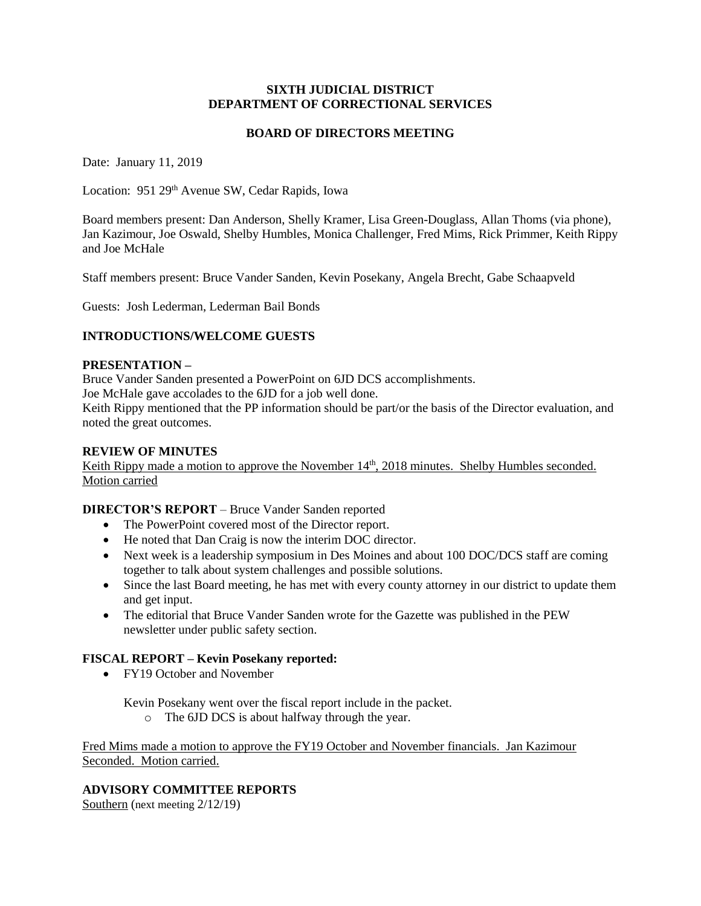#### **SIXTH JUDICIAL DISTRICT DEPARTMENT OF CORRECTIONAL SERVICES**

### **BOARD OF DIRECTORS MEETING**

Date: January 11, 2019

Location: 951 29<sup>th</sup> Avenue SW, Cedar Rapids, Iowa

Board members present: Dan Anderson, Shelly Kramer, Lisa Green-Douglass, Allan Thoms (via phone), Jan Kazimour, Joe Oswald, Shelby Humbles, Monica Challenger, Fred Mims, Rick Primmer, Keith Rippy and Joe McHale

Staff members present: Bruce Vander Sanden, Kevin Posekany, Angela Brecht, Gabe Schaapveld

Guests: Josh Lederman, Lederman Bail Bonds

## **INTRODUCTIONS/WELCOME GUESTS**

#### **PRESENTATION –**

Bruce Vander Sanden presented a PowerPoint on 6JD DCS accomplishments.

Joe McHale gave accolades to the 6JD for a job well done.

Keith Rippy mentioned that the PP information should be part/or the basis of the Director evaluation, and noted the great outcomes.

#### **REVIEW OF MINUTES**

Keith Rippy made a motion to approve the November 14<sup>th</sup>, 2018 minutes. Shelby Humbles seconded. Motion carried

**DIRECTOR'S REPORT** – Bruce Vander Sanden reported

- The PowerPoint covered most of the Director report.
- He noted that Dan Craig is now the interim DOC director.
- Next week is a leadership symposium in Des Moines and about 100 DOC/DCS staff are coming together to talk about system challenges and possible solutions.
- Since the last Board meeting, he has met with every county attorney in our district to update them and get input.
- The editorial that Bruce Vander Sanden wrote for the Gazette was published in the PEW newsletter under public safety section.

## **FISCAL REPORT – Kevin Posekany reported:**

• FY19 October and November

Kevin Posekany went over the fiscal report include in the packet.

o The 6JD DCS is about halfway through the year.

Fred Mims made a motion to approve the FY19 October and November financials. Jan Kazimour Seconded. Motion carried.

## **ADVISORY COMMITTEE REPORTS**

Southern (next meeting 2/12/19)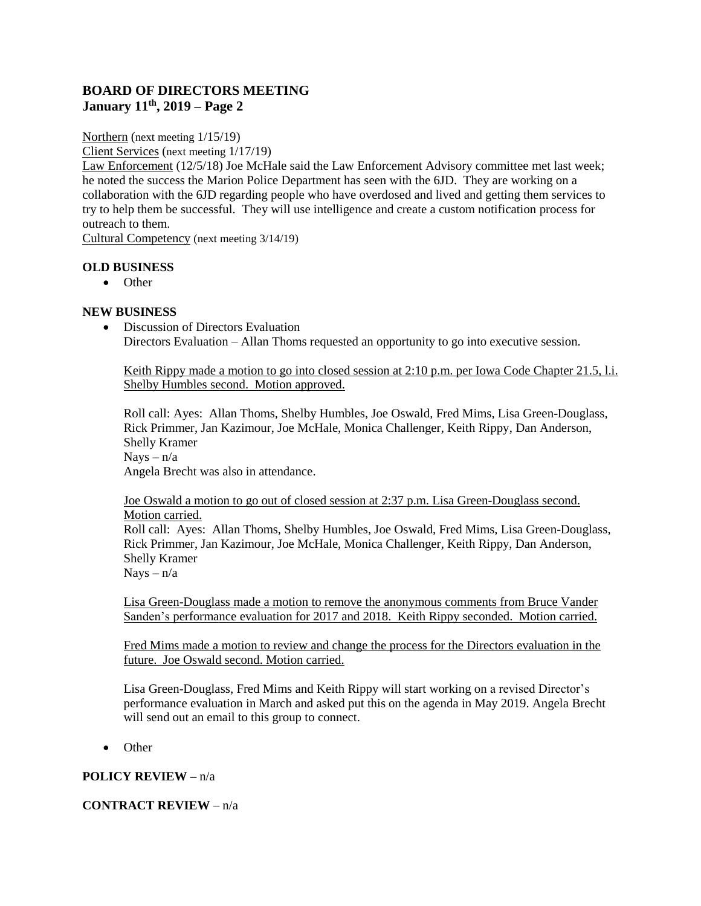# **BOARD OF DIRECTORS MEETING January 11th, 2019 – Page 2**

Northern (next meeting 1/15/19)

Client Services (next meeting 1/17/19)

Law Enforcement (12/5/18) Joe McHale said the Law Enforcement Advisory committee met last week; he noted the success the Marion Police Department has seen with the 6JD. They are working on a collaboration with the 6JD regarding people who have overdosed and lived and getting them services to try to help them be successful. They will use intelligence and create a custom notification process for outreach to them.

Cultural Competency (next meeting 3/14/19)

## **OLD BUSINESS**

• Other

## **NEW BUSINESS**

• Discussion of Directors Evaluation Directors Evaluation – Allan Thoms requested an opportunity to go into executive session.

Keith Rippy made a motion to go into closed session at 2:10 p.m. per Iowa Code Chapter 21.5, l.i. Shelby Humbles second. Motion approved.

Roll call: Ayes: Allan Thoms, Shelby Humbles, Joe Oswald, Fred Mims, Lisa Green-Douglass, Rick Primmer, Jan Kazimour, Joe McHale, Monica Challenger, Keith Rippy, Dan Anderson, Shelly Kramer  $Nays - n/a$ 

Angela Brecht was also in attendance.

Joe Oswald a motion to go out of closed session at 2:37 p.m. Lisa Green-Douglass second. Motion carried. Roll call: Ayes: Allan Thoms, Shelby Humbles, Joe Oswald, Fred Mims, Lisa Green-Douglass,

Rick Primmer, Jan Kazimour, Joe McHale, Monica Challenger, Keith Rippy, Dan Anderson, Shelly Kramer

 $Nays - n/a$ 

Lisa Green-Douglass made a motion to remove the anonymous comments from Bruce Vander Sanden's performance evaluation for 2017 and 2018. Keith Rippy seconded. Motion carried.

Fred Mims made a motion to review and change the process for the Directors evaluation in the future. Joe Oswald second. Motion carried.

Lisa Green-Douglass, Fred Mims and Keith Rippy will start working on a revised Director's performance evaluation in March and asked put this on the agenda in May 2019. Angela Brecht will send out an email to this group to connect.

• Other

# **POLICY REVIEW –** n/a

## **CONTRACT REVIEW** – n/a